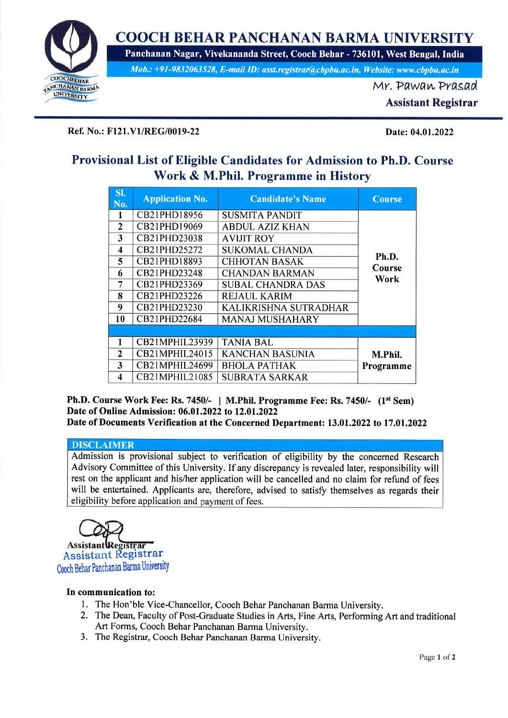

# COOCH BEHAR PANCHANAN BARMA UNIVERSITY

Panchanan Nagar, Vivekananda Street, Cooch Behar - 736101, West Bengal,India

Mob.: +91-9832063528, E-mail ID: asst.registrar@cbpbu.ac.in, Website: www.cbpbu.ac.in

Mr. PawawPrasad

Assistant Registrar

### Ref. No.: F121.V1/REG/0019-22 Date: 04.01.2022

# Provisional List of Eligible Candidates for Admission to Ph.D. Course Work & M.Phil. Programme in History

| SI.<br>No.           | <b>Application No.</b> | <b>Candidate's Name</b>  | Course         |
|----------------------|------------------------|--------------------------|----------------|
| 1                    | CB21PHD18956           | <b>SUSMITA PANDIT</b>    |                |
| $\overline{2}$       | CB21PHD19069           | <b>ABDUL AZIZ KHAN</b>   |                |
| 3                    | CB21PHD23038           | <b>AVIJIT ROY</b>        |                |
| $\blacktriangleleft$ | CB21PHD25272           | <b>SUKOMAL CHANDA</b>    |                |
| 5.                   | CB21PHD18893           | <b>CHHOTAN BASAK</b>     | Ph.D.          |
| 6                    | CB21PHD23248           | <b>CHANDAN BARMAN</b>    | Course<br>Work |
| 7                    | CB21PHD23369           | <b>SUBAL CHANDRA DAS</b> |                |
| 8                    | CB21PHD23226           | <b>REJAUL KARIM</b>      |                |
| 9                    | CB21PHD23230           | KALIKRISHNA SUTRADHAR    |                |
| 10                   | CB21PHD22684           | <b>MANAJ MUSHAHARY</b>   |                |
|                      |                        |                          |                |
| 1                    | CB21MPHIL23939         | <b>TANIA BAL</b>         |                |
| 2                    | CB21MPHIL24015         | <b>KANCHAN BASUNIA</b>   | M.Phil.        |
| 3                    | CB21MPHIL24699         | <b>BHOLA PATHAK</b>      | Programme      |
| 4                    | CB21MPHIL21085         | <b>SUBRATA SARKAR</b>    |                |

Ph.D. Course Work Fee: Rs. 7450/- | M.Phil. Programme Fee: Rs. 7450/-  $(1^{st}$  Sem) Date of Online Admission: 06.01,2022 to 12.01,2022 Date of Documents Verification at the Concerned Department: 13.01.2022 to 17.01.2022

# **DISCLAIMER**

Admission is provisional subject to verification of eligibility by the concerned Research Advisory Commiffee of this University. If any discrepancy is revealed later, responsibility will rest on the applicant and his/her application will be cancelled and no claim for refund of fees will be entertained. Applicants are, therefore, advised to satisfy themselves as regards their eligibility before application and payment of fees.



## In communication to:

- l. The Hon'ble Vice-Chancellor, Cooch Behar Panchanan Barma University.
- 2. The Dean, Faculty of Post-Graduate Studies in Arts, Fine Arts, Performing Art and traditional Art Forms, Cooch Behar Panchanan Barma University.
- 3. The Registrar, Cooch Behar Panchanan Barma University.